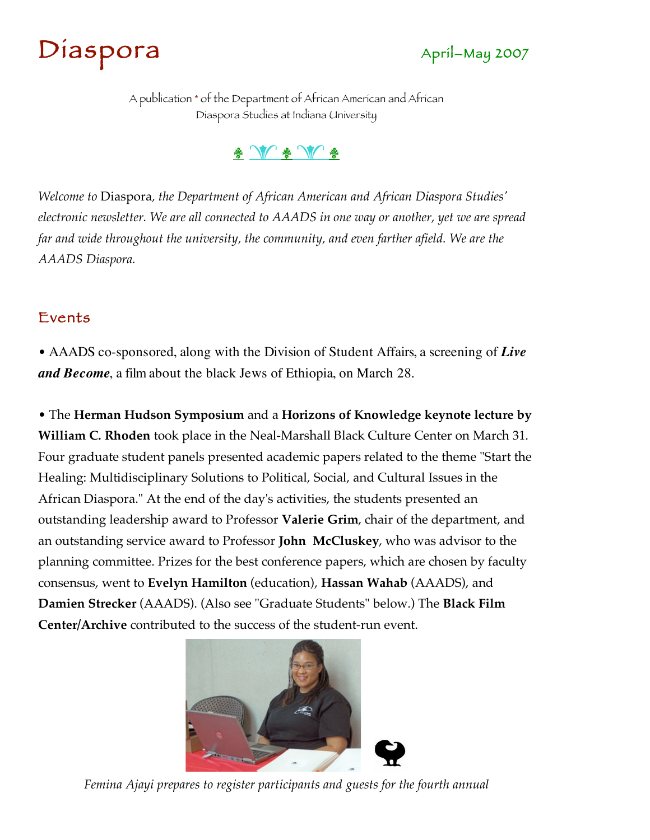



A publication \* of the Department of African American and African Diaspora Studies at Indiana University

#### \* W \* W \*

*Welcome to* Diaspora*, the Department of African American and African Diaspora Studies' electronic newsletter. We are all connected to AAADS in one way or another, yet we are spread*  far and wide throughout the university, the community, and even farther afield. We are the *AAADS Diaspora.*

#### Events

• AAADS co-sponsored, along with the Division of Student Affairs, a screening of *Live and Become*, a film about the black Jews of Ethiopia, on March 28.

• The **Herman Hudson Symposium** and a **Horizons of Knowledge keynote lecture by William C. Rhoden** took place in the Neal-Marshall Black Culture Center on March 31. Four graduate student panels presented academic papers related to the theme "Start the Healing: Multidisciplinary Solutions to Political, Social, and Cultural Issues in the African Diaspora." At the end of the day's activities, the students presented an outstanding leadership award to Professor **Valerie Grim**, chair of the department, and an outstanding service award to Professor **John McCluskey**, who was advisor to the planning committee. Prizes for the best conference papers, which are chosen by faculty consensus, went to **Evelyn Hamilton** (education), **Hassan Wahab** (AAADS), and **Damien Strecker** (AAADS). (Also see "Graduate Students" below.) The **Black Film Center/Archive** contributed to the success of the student-run event.



*Femina Ajayi prepares to register participants and guests for the fourth annual*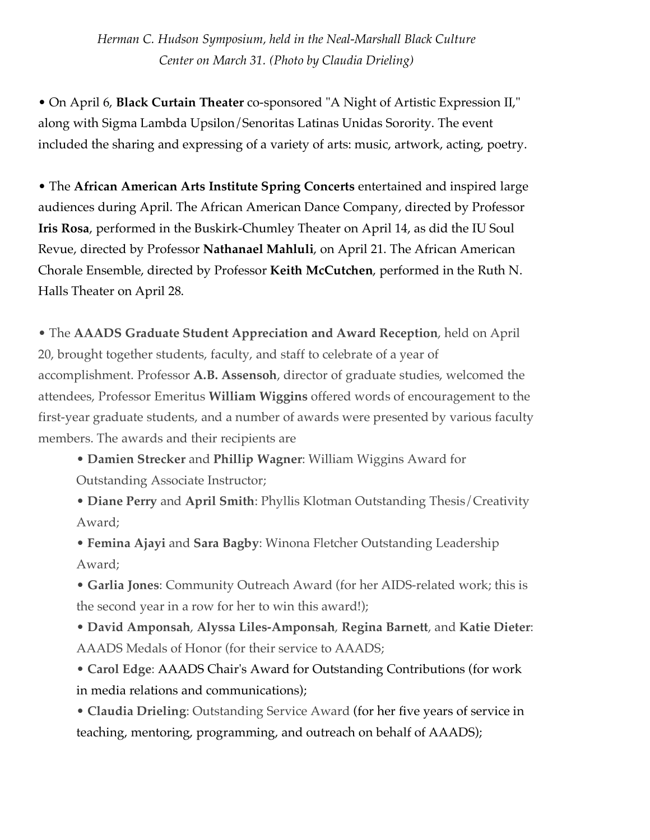*Herman C. Hudson Symposium, held in the Neal-Marshall Black Culture Center on March 31. (Photo by Claudia Drieling)*

• On April 6, **Black Curtain Theater** co-sponsored "A Night of Artistic Expression II," along with Sigma Lambda Upsilon/Senoritas Latinas Unidas Sorority. The event included the sharing and expressing of a variety of arts: music, artwork, acting, poetry.

• The **African American Arts Institute Spring Concerts** entertained and inspired large audiences during April. The African American Dance Company, directed by Professor **Iris Rosa**, performed in the Buskirk-Chumley Theater on April 14, as did the IU Soul Revue, directed by Professor **Nathanael Mahluli**, on April 21. The African American Chorale Ensemble, directed by Professor **Keith McCutchen**, performed in the Ruth N. Halls Theater on April 28.

• The **AAADS Graduate Student Appreciation and Award Reception**, held on April 20, brought together students, faculty, and staff to celebrate of a year of accomplishment. Professor **A.B. Assensoh**, director of graduate studies, welcomed the attendees, Professor Emeritus **William Wiggins** offered words of encouragement to the first-year graduate students, and a number of awards were presented by various faculty members. The awards and their recipients are

• **Damien Strecker** and **Phillip Wagner**: William Wiggins Award for

Outstanding Associate Instructor;

- **Diane Perry** and **April Smith**: Phyllis Klotman Outstanding Thesis/Creativity Award;
- **Femina Ajayi** and **Sara Bagby**: Winona Fletcher Outstanding Leadership Award;
- **Garlia Jones**: Community Outreach Award (for her AIDS-related work; this is the second year in a row for her to win this award!);
- **David Amponsah**, **Alyssa Liles-Amponsah**, **Regina Barnett**, and **Katie Dieter**: AAADS Medals of Honor (for their service to AAADS;
- **Carol Edge**: AAADS Chair's Award for Outstanding Contributions (for work in media relations and communications);
- **Claudia Drieling**: Outstanding Service Award (for her five years of service in teaching, mentoring, programming, and outreach on behalf of AAADS);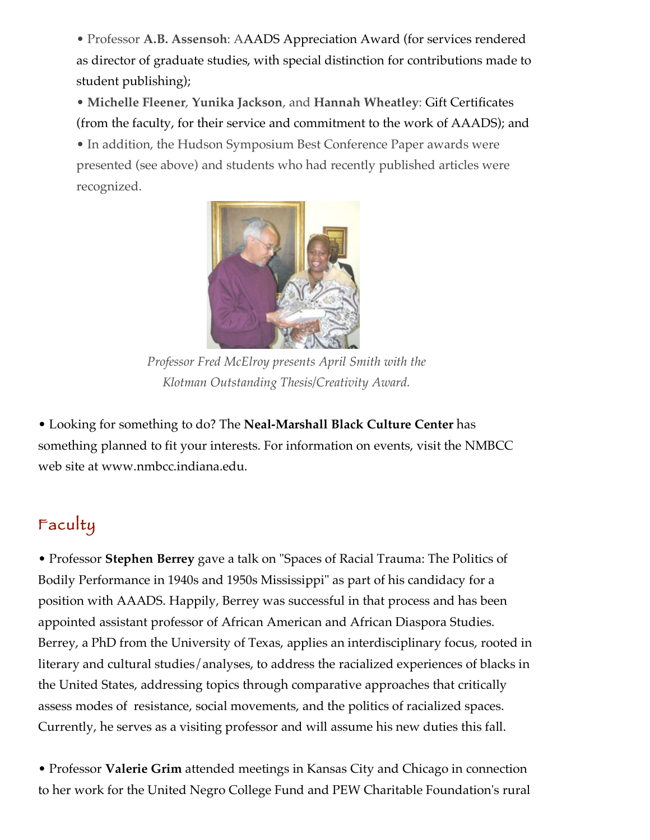• Professor **A.B. Assensoh**: AAADS Appreciation Award (for services rendered as director of graduate studies, with special distinction for contributions made to student publishing);

• **Michelle Fleener**, **Yunika Jackson**, and **Hannah Wheatley**: Gift Certificates (from the faculty, for their service and commitment to the work of AAADS); and • In addition, the Hudson Symposium Best Conference Paper awards were presented (see above) and students who had recently published articles were recognized.



*Professor Fred McElroy presents April Smith with the Klotman Outstanding Thesis/Creativity Award.*

• Looking for something to do? The **Neal-Marshall Black Culture Center** has something planned to fit your interests. For information on events, visit the NMBCC web site at www.nmbcc.indiana.edu.

# Faculty

• Professor **Stephen Berrey** gave a talk on "Spaces of Racial Trauma: The Politics of Bodily Performance in 1940s and 1950s Mississippi" as part of his candidacy for a position with AAADS. Happily, Berrey was successful in that process and has been appointed assistant professor of African American and African Diaspora Studies. Berrey, a PhD from the University of Texas, applies an interdisciplinary focus, rooted in literary and cultural studies/analyses, to address the racialized experiences of blacks in the United States, addressing topics through comparative approaches that critically assess modes of resistance, social movements, and the politics of racialized spaces. Currently, he serves as a visiting professor and will assume his new duties this fall.

• Professor **Valerie Grim** attended meetings in Kansas City and Chicago in connection to her work for the United Negro College Fund and PEW Charitable Foundation's rural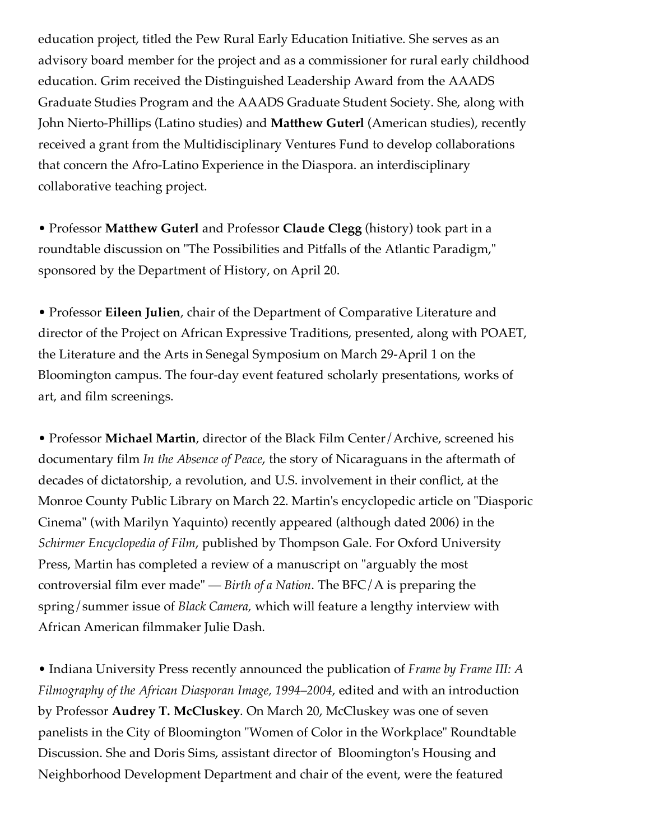education project, titled the Pew Rural Early Education Initiative. She serves as an advisory board member for the project and as a commissioner for rural early childhood education. Grim received the Distinguished Leadership Award from the AAADS Graduate Studies Program and the AAADS Graduate Student Society. She, along with John Nierto-Phillips (Latino studies) and **Matthew Guterl** (American studies), recently received a grant from the Multidisciplinary Ventures Fund to develop collaborations that concern the Afro-Latino Experience in the Diaspora. an interdisciplinary collaborative teaching project.

• Professor **Matthew Guterl** and Professor **Claude Clegg** (history) took part in a roundtable discussion on "The Possibilities and Pitfalls of the Atlantic Paradigm," sponsored by the Department of History, on April 20.

• Professor **Eileen Julien**, chair of the Department of Comparative Literature and director of the Project on African Expressive Traditions, presented, along with POAET, the Literature and the Arts in Senegal Symposium on March 29-April 1 on the Bloomington campus. The four-day event featured scholarly presentations, works of art, and film screenings.

• Professor **Michael Martin**, director of the Black Film Center/Archive, screened his documentary film *In the Absence of Peace*, the story of Nicaraguans in the aftermath of decades of dictatorship, a revolution, and U.S. involvement in their conflict, at the Monroe County Public Library on March 22. Martin's encyclopedic article on "Diasporic Cinema" (with Marilyn Yaquinto) recently appeared (although dated 2006) in the *Schirmer Encyclopedia of Film*, published by Thompson Gale. For Oxford University Press, Martin has completed a review of a manuscript on "arguably the most controversial film ever made" — *Birth of a Nation*. The BFC/A is preparing the spring/summer issue of *Black Camera,* which will feature a lengthy interview with African American filmmaker Julie Dash.

• Indiana University Press recently announced the publication of *Frame by Frame III: A Filmography of the African Diasporan Image, 1994–2004*, edited and with an introduction by Professor **Audrey T. McCluskey**. On March 20, McCluskey was one of seven panelists in the City of Bloomington "Women of Color in the Workplace" Roundtable Discussion. She and Doris Sims, assistant director of Bloomington's Housing and Neighborhood Development Department and chair of the event, were the featured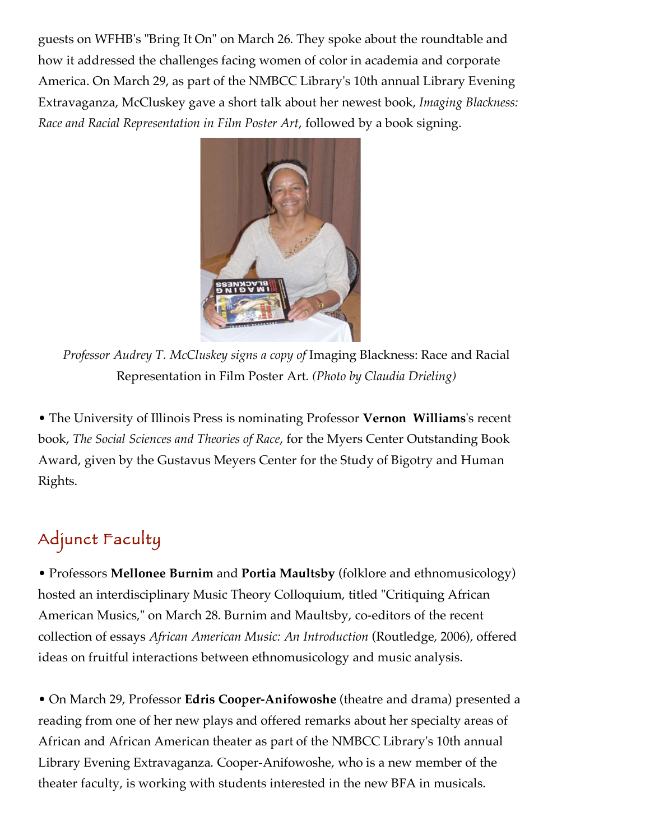guests on WFHB's "Bring It On" on March 26. They spoke about the roundtable and how it addressed the challenges facing women of color in academia and corporate America. On March 29, as part of the NMBCC Library's 10th annual Library Evening Extravaganza, McCluskey gave a short talk about her newest book, *Imaging Blackness: Race and Racial Representation in Film Poster Art*, followed by a book signing.



*Professor Audrey T. McCluskey signs a copy of* Imaging Blackness: Race and Racial Representation in Film Poster Art*. (Photo by Claudia Drieling)*

• The University of Illinois Press is nominating Professor **Vernon Williams**'s recent book, *The Social Sciences and Theories of Race*, for the Myers Center Outstanding Book Award, given by the Gustavus Meyers Center for the Study of Bigotry and Human Rights.

# Adjunct Faculty

• Professors **Mellonee Burnim** and **Portia Maultsby** (folklore and ethnomusicology) hosted an interdisciplinary Music Theory Colloquium, titled "Critiquing African American Musics," on March 28. Burnim and Maultsby, co-editors of the recent collection of essays *African American Music: An Introduction* (Routledge, 2006), offered ideas on fruitful interactions between ethnomusicology and music analysis.

• On March 29, Professor **Edris Cooper-Anifowoshe** (theatre and drama) presented a reading from one of her new plays and offered remarks about her specialty areas of African and African American theater as part of the NMBCC Library's 10th annual Library Evening Extravaganza. Cooper-Anifowoshe, who is a new member of the theater faculty, is working with students interested in the new BFA in musicals.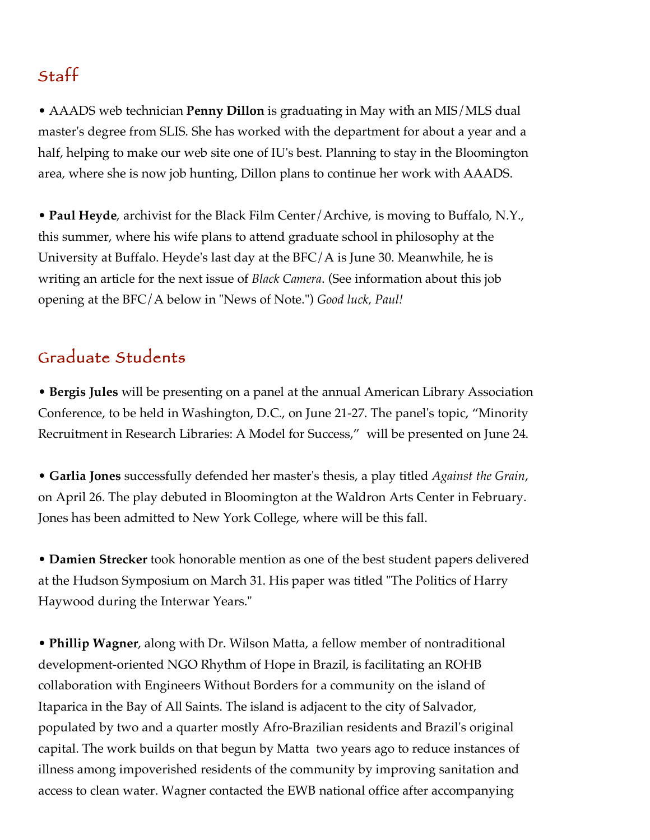### Staff

• AAADS web technician **Penny Dillon** is graduating in May with an MIS/MLS dual master's degree from SLIS. She has worked with the department for about a year and a half, helping to make our web site one of IU's best. Planning to stay in the Bloomington area, where she is now job hunting, Dillon plans to continue her work with AAADS.

• **Paul Heyde**, archivist for the Black Film Center/Archive, is moving to Buffalo, N.Y., this summer, where his wife plans to attend graduate school in philosophy at the University at Buffalo. Heyde's last day at the BFC/A is June 30. Meanwhile, he is writing an article for the next issue of *Black Camera*. (See information about this job opening at the BFC/A below in "News of Note.") *Good luck, Paul!*

#### Graduate Students

• **Bergis Jules** will be presenting on a panel at the annual American Library Association Conference, to be held in Washington, D.C., on June 21-27. The panel's topic, "Minority Recruitment in Research Libraries: A Model for Success," will be presented on June 24.

• **Garlia Jones** successfully defended her master's thesis, a play titled *Against the Grain*, on April 26. The play debuted in Bloomington at the Waldron Arts Center in February. Jones has been admitted to New York College, where will be this fall.

• **Damien Strecker** took honorable mention as one of the best student papers delivered at the Hudson Symposium on March 31. His paper was titled "The Politics of Harry Haywood during the Interwar Years."

• **Phillip Wagner**, along with Dr. Wilson Matta, a fellow member of nontraditional development-oriented NGO Rhythm of Hope in Brazil, is facilitating an ROHB collaboration with Engineers Without Borders for a community on the island of Itaparica in the Bay of All Saints. The island is adjacent to the city of Salvador, populated by two and a quarter mostly Afro-Brazilian residents and Brazil's original capital. The work builds on that begun by Matta two years ago to reduce instances of illness among impoverished residents of the community by improving sanitation and access to clean water. Wagner contacted the EWB national office after accompanying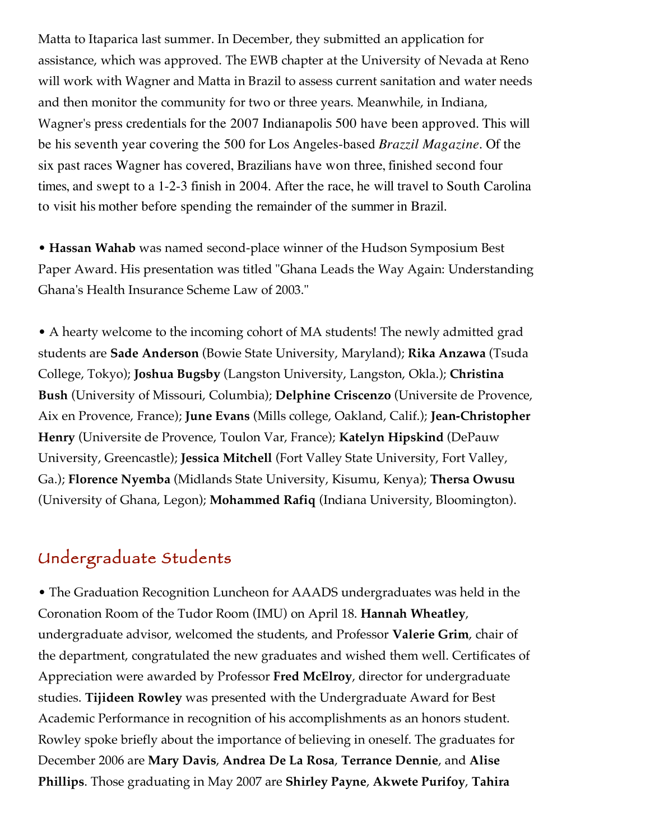Matta to Itaparica last summer. In December, they submitted an application for assistance, which was approved. The EWB chapter at the University of Nevada at Reno will work with Wagner and Matta in Brazil to assess current sanitation and water needs and then monitor the community for two or three years. Meanwhile, in Indiana, Wagner's press credentials for the 2007 Indianapolis 500 have been approved. This will be his seventh year covering the 500 for Los Angeles-based *Brazzil Magazine*. Of the six past races Wagner has covered, Brazilians have won three, finished second four times, and swept to a 1-2-3 finish in 2004. After the race, he will travel to South Carolina to visit his mother before spending the remainder of the summer in Brazil.

• A hearty welcome to the incoming cohort of MA students! The newly admitted grad students are **Sade Anderson** (Bowie State University, Maryland); **Rika Anzawa** (Tsuda College, Tokyo); **Joshua Bugsby** (Langston University, Langston, Okla.); **Christina Bush** (University of Missouri, Columbia); **Delphine Criscenzo** (Universite de Provence, Aix en Provence, France); **June Evans** (Mills college, Oakland, Calif.); **Jean-Christopher Henry** (Universite de Provence, Toulon Var, France); **Katelyn Hipskind** (DePauw University, Greencastle); **Jessica Mitchell** (Fort Valley State University, Fort Valley, Ga.); **Florence Nyemba** (Midlands State University, Kisumu, Kenya); **Thersa Owusu** (University of Ghana, Legon); **Mohammed Rafiq** (Indiana University, Bloomington).

• **Hassan Wahab** was named second-place winner of the Hudson Symposium Best Paper Award. His presentation was titled "Ghana Leads the Way Again: Understanding Ghana's Health Insurance Scheme Law of 2003."

### Undergraduate Students

• The Graduation Recognition Luncheon for AAADS undergraduates was held in the Coronation Room of the Tudor Room (IMU) on April 18. **Hannah Wheatley**, undergraduate advisor, welcomed the students, and Professor **Valerie Grim**, chair of the department, congratulated the new graduates and wished them well. Certificates of Appreciation were awarded by Professor **Fred McElroy**, director for undergraduate studies. **Tijideen Rowley** was presented with the Undergraduate Award for Best Academic Performance in recognition of his accomplishments as an honors student. Rowley spoke briefly about the importance of believing in oneself. The graduates for December 2006 are **Mary Davis**, **Andrea De La Rosa**, **Terrance Dennie**, and **Alise Phillips**. Those graduating in May 2007 are **Shirley Payne**, **Akwete Purifoy**, **Tahira**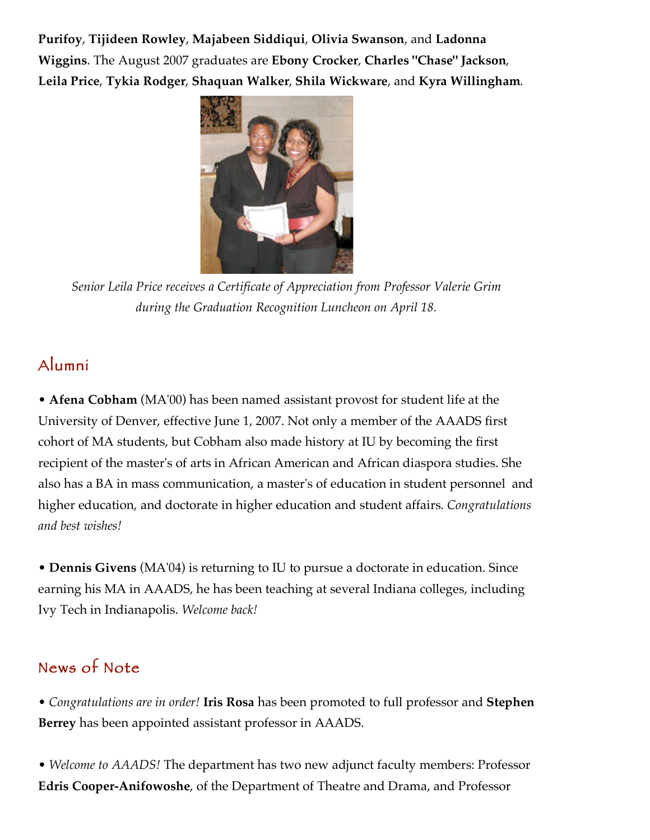**Purifoy**, **Tijideen Rowley**, **Majabeen Siddiqui**, **Olivia Swanson**, and **Ladonna Wiggins**. The August 2007 graduates are **Ebony Crocker**, **Charles "Chase" Jackson**, **Leila Price**, **Tykia Rodger**, **Shaquan Walker**, **Shila Wickware**, and **Kyra Willingham**.



*Senior Leila Price receives a Certificate of Appreciation from Professor Valerie Grim during the Graduation Recognition Luncheon on April 18.*

### Alumni

• **Afena Cobham** (MA'00) has been named assistant provost for student life at the University of Denver, effective June 1, 2007. Not only a member of the AAADS first cohort of MA students, but Cobham also made history at IU by becoming the first recipient of the master's of arts in African American and African diaspora studies. She

also has a BA in mass communication, a master's of education in student personnel and higher education, and doctorate in higher education and student affairs. *Congratulations and best wishes!*

• **Dennis Givens** (MA'04) is returning to IU to pursue a doctorate in education. Since earning his MA in AAADS, he has been teaching at several Indiana colleges, including Ivy Tech in Indianapolis. *Welcome back!*

## News of Note

• *Congratulations are in order!* **Iris Rosa** has been promoted to full professor and **Stephen Berrey** has been appointed assistant professor in AAADS.

• *Welcome to AAADS!* The department has two new adjunct faculty members: Professor **Edris Cooper-Anifowoshe**, of the Department of Theatre and Drama, and Professor